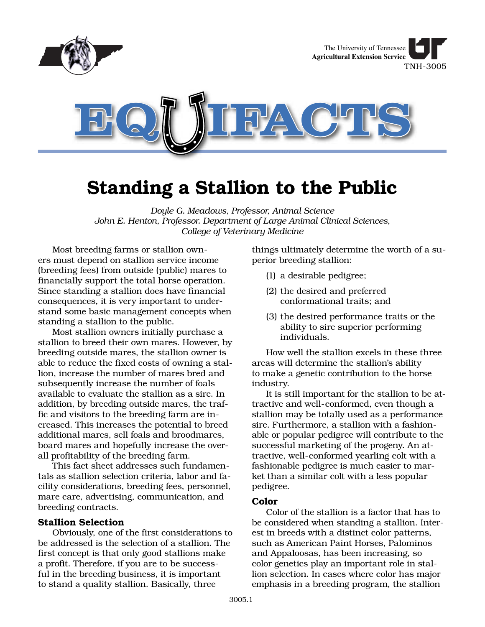

# **Standing a Stallion to the Public**

*Doyle G. Meadows, Professor, Animal Science John E. Henton, Professor. Department of Large Animal Clinical Sciences, College of Veterinary Medicine*

Most breeding farms or stallion owners must depend on stallion service income (breeding fees) from outside (public) mares to financially support the total horse operation. Since standing a stallion does have financial consequences, it is very important to understand some basic management concepts when standing a stallion to the public.

Most stallion owners initially purchase a stallion to breed their own mares. However, by breeding outside mares, the stallion owner is able to reduce the fixed costs of owning a stallion, increase the number of mares bred and subsequently increase the number of foals available to evaluate the stallion as a sire. In addition, by breeding outside mares, the traffic and visitors to the breeding farm are increased. This increases the potential to breed additional mares, sell foals and broodmares, board mares and hopefully increase the overall profitability of the breeding farm.

This fact sheet addresses such fundamentals as stallion selection criteria, labor and facility considerations, breeding fees, personnel, mare care, advertising, communication, and breeding contracts.

# **Stallion Selection**

Obviously, one of the first considerations to be addressed is the selection of a stallion. The first concept is that only good stallions make a profit. Therefore, if you are to be successful in the breeding business, it is important to stand a quality stallion. Basically, three

things ultimately determine the worth of a superior breeding stallion:

- (1) a desirable pedigree;
- (2) the desired and preferred conformational traits; and
- (3) the desired performance traits or the ability to sire superior performing individuals.

How well the stallion excels in these three areas will determine the stallion's ability to make a genetic contribution to the horse industry.

It is still important for the stallion to be attractive and well-conformed, even though a stallion may be totally used as a performance sire. Furthermore, a stallion with a fashionable or popular pedigree will contribute to the successful marketing of the progeny. An attractive, well-conformed yearling colt with a fashionable pedigree is much easier to market than a similar colt with a less popular pedigree.

#### **Color**

Color of the stallion is a factor that has to be considered when standing a stallion. Interest in breeds with a distinct color patterns, such as American Paint Horses, Palominos and Appaloosas, has been increasing, so color genetics play an important role in stallion selection. In cases where color has major emphasis in a breeding program, the stallion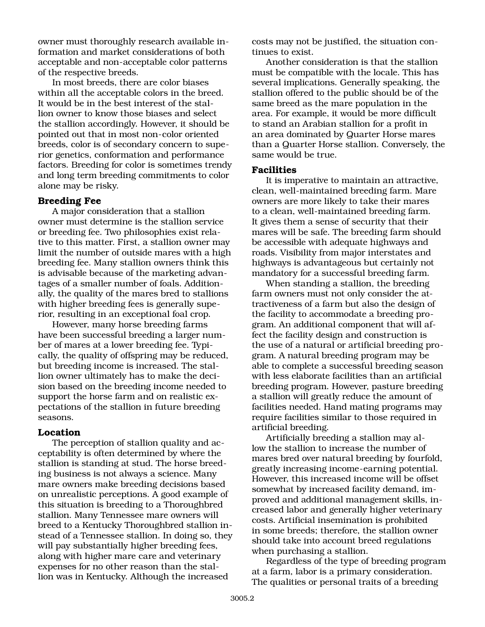owner must thoroughly research available information and market considerations of both acceptable and non-acceptable color patterns of the respective breeds.

In most breeds, there are color biases within all the acceptable colors in the breed. It would be in the best interest of the stallion owner to know those biases and select the stallion accordingly. However, it should be pointed out that in most non-color oriented breeds, color is of secondary concern to superior genetics, conformation and performance factors. Breeding for color is sometimes trendy and long term breeding commitments to color alone may be risky.

# **Breeding Fee**

A major consideration that a stallion owner must determine is the stallion service or breeding fee. Two philosophies exist relative to this matter. First, a stallion owner may limit the number of outside mares with a high breeding fee. Many stallion owners think this is advisable because of the marketing advantages of a smaller number of foals. Additionally, the quality of the mares bred to stallions with higher breeding fees is generally superior, resulting in an exceptional foal crop.

However, many horse breeding farms have been successful breeding a larger number of mares at a lower breeding fee. Typically, the quality of offspring may be reduced, but breeding income is increased. The stallion owner ultimately has to make the decision based on the breeding income needed to support the horse farm and on realistic expectations of the stallion in future breeding seasons.

#### **Location**

The perception of stallion quality and acceptability is often determined by where the stallion is standing at stud. The horse breeding business is not always a science. Many mare owners make breeding decisions based on unrealistic perceptions. A good example of this situation is breeding to a Thoroughbred stallion. Many Tennessee mare owners will breed to a Kentucky Thoroughbred stallion instead of a Tennessee stallion. In doing so, they will pay substantially higher breeding fees, along with higher mare care and veterinary expenses for no other reason than the stallion was in Kentucky. Although the increased

costs may not be justified, the situation continues to exist.

Another consideration is that the stallion must be compatible with the locale. This has several implications. Generally speaking, the stallion offered to the public should be of the same breed as the mare population in the area. For example, it would be more difficult to stand an Arabian stallion for a profit in an area dominated by Quarter Horse mares than a Quarter Horse stallion. Conversely, the same would be true.

#### **Facilities**

It is imperative to maintain an attractive, clean, well-maintained breeding farm. Mare owners are more likely to take their mares to a clean, well-maintained breeding farm. It gives them a sense of security that their mares will be safe. The breeding farm should be accessible with adequate highways and roads. Visibility from major interstates and highways is advantageous but certainly not mandatory for a successful breeding farm.

When standing a stallion, the breeding farm owners must not only consider the attractiveness of a farm but also the design of the facility to accommodate a breeding program. An additional component that will affect the facility design and construction is the use of a natural or artificial breeding program. A natural breeding program may be able to complete a successful breeding season with less elaborate facilities than an artificial breeding program. However, pasture breeding a stallion will greatly reduce the amount of facilities needed. Hand mating programs may require facilities similar to those required in artificial breeding.

Artificially breeding a stallion may allow the stallion to increase the number of mares bred over natural breeding by fourfold, greatly increasing income-earning potential. However, this increased income will be offset somewhat by increased facility demand, improved and additional management skills, increased labor and generally higher veterinary costs. Artificial insemination is prohibited in some breeds; therefore, the stallion owner should take into account breed regulations when purchasing a stallion.

Regardless of the type of breeding program at a farm, labor is a primary consideration. The qualities or personal traits of a breeding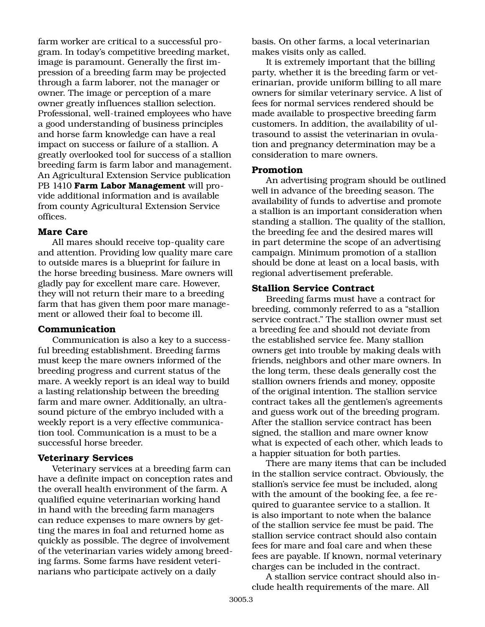farm worker are critical to a successful program. In today's competitive breeding market, image is paramount. Generally the first impression of a breeding farm may be projected through a farm laborer, not the manager or owner. The image or perception of a mare owner greatly influences stallion selection. Professional, well-trained employees who have a good understanding of business principles and horse farm knowledge can have a real impact on success or failure of a stallion. A greatly overlooked tool for success of a stallion breeding farm is farm labor and management. An Agricultural Extension Service publication PB 1410 **Farm Labor Management** will provide additional information and is available from county Agricultural Extension Service offices.

# **Mare Care**

All mares should receive top-quality care and attention. Providing low quality mare care to outside mares is a blueprint for failure in the horse breeding business. Mare owners will gladly pay for excellent mare care. However, they will not return their mare to a breeding farm that has given them poor mare management or allowed their foal to become ill.

# **Communication**

Communication is also a key to a successful breeding establishment. Breeding farms must keep the mare owners informed of the breeding progress and current status of the mare. A weekly report is an ideal way to build a lasting relationship between the breeding farm and mare owner. Additionally, an ultrasound picture of the embryo included with a weekly report is a very effective communication tool. Communication is a must to be a successful horse breeder.

# **Veterinary Services**

Veterinary services at a breeding farm can have a definite impact on conception rates and the overall health environment of the farm. A qualified equine veterinarian working hand in hand with the breeding farm managers can reduce expenses to mare owners by getting the mares in foal and returned home as quickly as possible. The degree of involvement of the veterinarian varies widely among breeding farms. Some farms have resident veterinarians who participate actively on a daily

basis. On other farms, a local veterinarian makes visits only as called.

It is extremely important that the billing party, whether it is the breeding farm or veterinarian, provide uniform billing to all mare owners for similar veterinary service. A list of fees for normal services rendered should be made available to prospective breeding farm customers. In addition, the availability of ultrasound to assist the veterinarian in ovulation and pregnancy determination may be a consideration to mare owners.

#### **Promotion**

An advertising program should be outlined well in advance of the breeding season. The availability of funds to advertise and promote a stallion is an important consideration when standing a stallion. The quality of the stallion, the breeding fee and the desired mares will in part determine the scope of an advertising campaign. Minimum promotion of a stallion should be done at least on a local basis, with regional advertisement preferable.

# **Stallion Service Contract**

Breeding farms must have a contract for breeding, commonly referred to as a "stallion service contract." The stallion owner must set a breeding fee and should not deviate from the established service fee. Many stallion owners get into trouble by making deals with friends, neighbors and other mare owners. In the long term, these deals generally cost the stallion owners friends and money, opposite of the original intention. The stallion service contract takes all the gentlemen's agreements and guess work out of the breeding program. After the stallion service contract has been signed, the stallion and mare owner know what is expected of each other, which leads to a happier situation for both parties.

There are many items that can be included in the stallion service contract. Obviously, the stallion's service fee must be included, along with the amount of the booking fee, a fee required to guarantee service to a stallion. It is also important to note when the balance of the stallion service fee must be paid. The stallion service contract should also contain fees for mare and foal care and when these fees are payable. If known, normal veterinary charges can be included in the contract.

A stallion service contract should also include health requirements of the mare. All